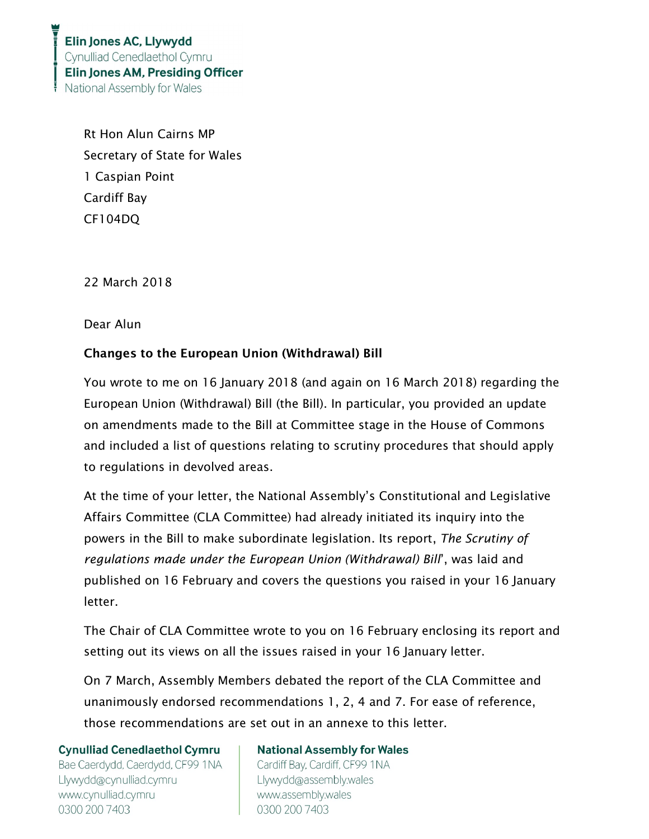Rt Hon Alun Cairns MP Secretary of State for Wales 1 Caspian Point Cardiff Bay CF104DQ

22 March 2018

Dear Alun

# Changes to the European Union (Withdrawal) Bill

You wrote to me on 16 January 2018 (and again on 16 March 2018) regarding the European Union (Withdrawal) Bill (the Bill). In particular, you provided an update on amendments made to the Bill at Committee stage in the House of Commons and included a list of questions relating to scrutiny procedures that should apply to regulations in devolved areas.

At the time of your letter, the National Assembly's Constitutional and Legislative Affairs Committee (CLA Committee) had already initiated its inquiry into the powers in the Bill to make subordinate legislation. Its report, The Scrutiny of regulations made under the European Union (Withdrawal) Bill', was laid and published on 16 February and covers the questions you raised in your 16 January letter.

The Chair of CLA Committee wrote to you on 16 February enclosing its report and setting out its views on all the issues raised in your 16 January letter.

On 7 March, Assembly Members debated the report of the CLA Committee and unanimously endorsed recommendations 1, 2, 4 and 7. For ease of reference, those recommendations are set out in an annexe to this letter.

**Cynulliad Cenedlaethol Cymru** 

Bae Caerdydd, Caerdydd, CF99 1NA Llywydd@cynulliad.cymru www.cynulliad.cymru 0300 200 7403

# **National Assembly for Wales**

Cardiff Bay, Cardiff, CF99 1NA Llywydd@assembly.wales www.assembly.wales 0300 200 7403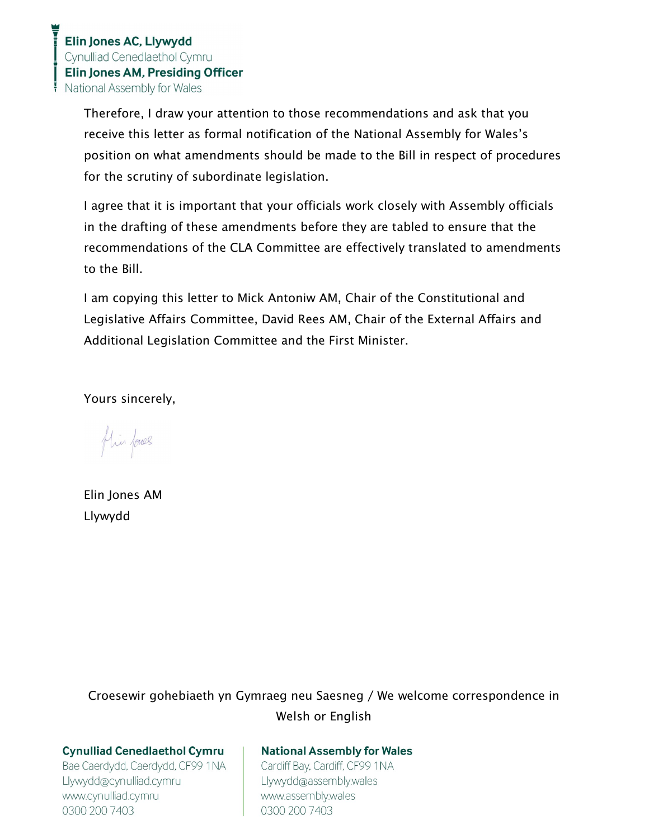Therefore, I draw your attention to those recommendations and ask that you receive this letter as formal notification of the National Assembly for Wales's position on what amendments should be made to the Bill in respect of procedures for the scrutiny of subordinate legislation.

I agree that it is important that your officials work closely with Assembly officials in the drafting of these amendments before they are tabled to ensure that the recommendations of the CLA Committee are effectively translated to amendments to the Bill.

I am copying this letter to Mick Antoniw AM, Chair of the Constitutional and Legislative Affairs Committee, David Rees AM, Chair of the External Affairs and Additional Legislation Committee and the First Minister.

Yours sincerely,

flin fores

Elin Jones AM Llywydd

Croesewir gohebiaeth yn Gymraeg neu Saesneg / We welcome correspondence in Welsh or English

## **Cynulliad Cenedlaethol Cymru**

Bae Caerdydd, Caerdydd, CF99 1NA Llywydd@cynulliad.cymru www.cynulliad.cymru 0300 200 7403

## **National Assembly for Wales**

Cardiff Bay, Cardiff, CF99 1NA Llywydd@assembly.wales www.assembly.wales 0300 200 7403